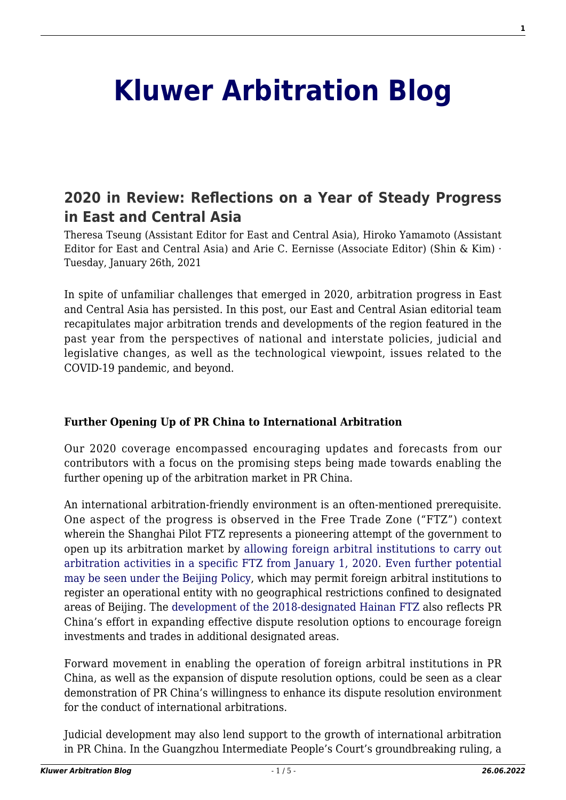# **[Kluwer Arbitration Blog](http://arbitrationblog.kluwerarbitration.com/)**

# **[2020 in Review: Reflections on a Year of Steady Progress](http://arbitrationblog.kluwerarbitration.com/2021/01/26/2020-in-review-reflections-on-a-year-of-steady-progress-in-east-and-central-asia/) [in East and Central Asia](http://arbitrationblog.kluwerarbitration.com/2021/01/26/2020-in-review-reflections-on-a-year-of-steady-progress-in-east-and-central-asia/)**

Theresa Tseung (Assistant Editor for East and Central Asia), Hiroko Yamamoto (Assistant Editor for East and Central Asia) and Arie C. Eernisse (Associate Editor) (Shin & Kim) · Tuesday, January 26th, 2021

In spite of unfamiliar challenges that emerged in 2020, arbitration progress in East and Central Asia has persisted. In this post, our East and Central Asian editorial team recapitulates major arbitration trends and developments of the region featured in the past year from the perspectives of national and interstate policies, judicial and legislative changes, as well as the technological viewpoint, issues related to the COVID-19 pandemic, and beyond.

## **Further Opening Up of PR China to International Arbitration**

Our 2020 coverage encompassed encouraging updates and forecasts from our contributors with a focus on the promising steps being made towards enabling the further opening up of the arbitration market in PR China.

An international arbitration-friendly environment is an often-mentioned prerequisite. One aspect of the progress is observed in the Free Trade Zone ("FTZ") context wherein the Shanghai Pilot FTZ represents a pioneering attempt of the government to open up its arbitration market by [allowing foreign arbitral institutions to carry out](http://arbitrationblog.kluwerarbitration.com/2020/07/15/paris-arbitration-week-recap-recent-developments-and-key-arbitration-trends-in-asia/) [arbitration activities in a specific FTZ from January 1, 2020.](http://arbitrationblog.kluwerarbitration.com/2020/07/15/paris-arbitration-week-recap-recent-developments-and-key-arbitration-trends-in-asia/) [Even further potential](http://arbitrationblog.kluwerarbitration.com/2020/09/24/opening-of-mainland-china-arbitration-market-to-foreign-institutions-is-it-happening-really/) [may be seen under the Beijing Policy](http://arbitrationblog.kluwerarbitration.com/2020/09/24/opening-of-mainland-china-arbitration-market-to-foreign-institutions-is-it-happening-really/), which may permit foreign arbitral institutions to register an operational entity with no geographical restrictions confined to designated areas of Beijing. The [development of the 2018-designated Hainan FTZ](http://arbitrationblog.kluwerarbitration.com/2020/11/27/an-arbitration-paradise-the-importance-of-dispute-resolution-for-hainans-development/) also reflects PR China's effort in expanding effective dispute resolution options to encourage foreign investments and trades in additional designated areas.

Forward movement in enabling the operation of foreign arbitral institutions in PR China, as well as the expansion of dispute resolution options, could be seen as a clear demonstration of PR China's willingness to enhance its dispute resolution environment for the conduct of international arbitrations.

Judicial development may also lend support to the growth of international arbitration in PR China. In the Guangzhou Intermediate People's Court's groundbreaking ruling, a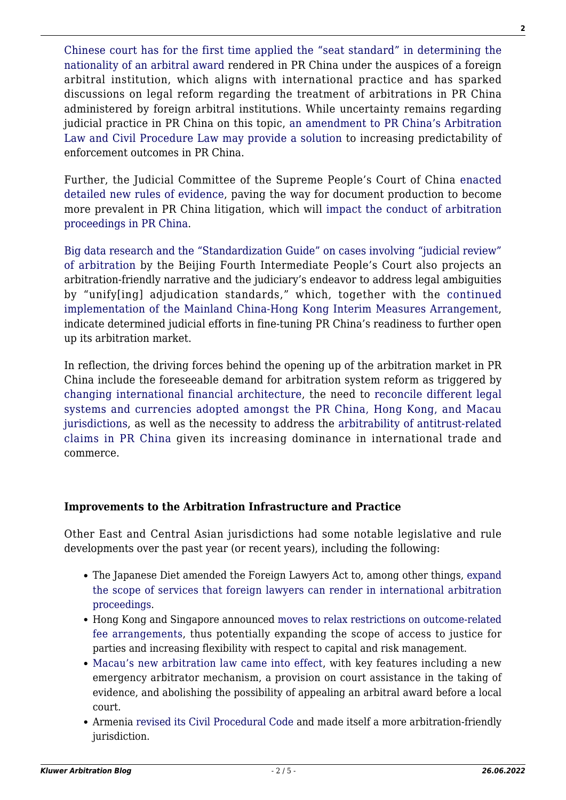[Chinese court has for the first time applied the "seat standard" in determining the](http://arbitrationblog.kluwerarbitration.com/2020/10/12/arbitrations-in-china-administered-by-foreign-institutions-no-longer-a-no-mans-land-part-i/) [nationality of an arbitral award](http://arbitrationblog.kluwerarbitration.com/2020/10/12/arbitrations-in-china-administered-by-foreign-institutions-no-longer-a-no-mans-land-part-i/) rendered in PR China under the auspices of a foreign arbitral institution, which aligns with international practice and has sparked discussions on legal reform regarding the treatment of arbitrations in PR China administered by foreign arbitral institutions. While uncertainty remains regarding judicial practice in PR China on this topic, [an amendment to PR China's Arbitration](http://arbitrationblog.kluwerarbitration.com/2020/10/12/arbitrations-in-china-administered-by-foreign-institutions-no-longer-a-no-mans-land-part-ii/) [Law and Civil Procedure Law may provide a solution](http://arbitrationblog.kluwerarbitration.com/2020/10/12/arbitrations-in-china-administered-by-foreign-institutions-no-longer-a-no-mans-land-part-ii/) to increasing predictability of enforcement outcomes in PR China.

Further, the Judicial Committee of the Supreme People's Court of China [enacted](http://arbitrationblog.kluwerarbitration.com/2020/06/12/new-evidence-rules-allow-document-production-in-china/) [detailed new rules of evidence,](http://arbitrationblog.kluwerarbitration.com/2020/06/12/new-evidence-rules-allow-document-production-in-china/) paving the way for document production to become more prevalent in PR China litigation, which will [impact the conduct of arbitration](http://arbitrationblog.kluwerarbitration.com/2020/06/19/document-production-in-chinese-arbitration-current-status-and-new-horizons/) [proceedings in PR China.](http://arbitrationblog.kluwerarbitration.com/2020/06/19/document-production-in-chinese-arbitration-current-status-and-new-horizons/)

[Big data research and the "Standardization Guide" on cases involving "judicial review"](http://arbitrationblog.kluwerarbitration.com/2020/08/08/arbitration-reform-in-china-keeping-up-with-the-beijing-fourth-intermediate-peoples-court/) [of arbitration](http://arbitrationblog.kluwerarbitration.com/2020/08/08/arbitration-reform-in-china-keeping-up-with-the-beijing-fourth-intermediate-peoples-court/) by the Beijing Fourth Intermediate People's Court also projects an arbitration-friendly narrative and the judiciary's endeavor to address legal ambiguities by "unify[ing] adjudication standards," which, together with the [continued](http://arbitrationblog.kluwerarbitration.com/2020/08/10/mainland-china-hong-kong-interim-measures-arrangement-one-year-on-crossing-the-river-by-feeling-the-stones/) [implementation of the Mainland China-Hong Kong Interim Measures Arrangement](http://arbitrationblog.kluwerarbitration.com/2020/08/10/mainland-china-hong-kong-interim-measures-arrangement-one-year-on-crossing-the-river-by-feeling-the-stones/), indicate determined judicial efforts in fine-tuning PR China's readiness to further open up its arbitration market.

In reflection, the driving forces behind the opening up of the arbitration market in PR China include the foreseeable demand for arbitration system reform as triggered by [changing international financial architecture,](http://arbitrationblog.kluwerarbitration.com/2020/05/12/belt-and-road-and-the-international-financial-architecture/) the need to [reconcile different legal](http://arbitrationblog.kluwerarbitration.com/2020/07/15/paris-arbitration-week-recap-recent-developments-and-key-arbitration-trends-in-asia/) [systems and currencies adopted amongst the PR China, Hong Kong, and Macau](http://arbitrationblog.kluwerarbitration.com/2020/07/15/paris-arbitration-week-recap-recent-developments-and-key-arbitration-trends-in-asia/) [jurisdictions](http://arbitrationblog.kluwerarbitration.com/2020/07/15/paris-arbitration-week-recap-recent-developments-and-key-arbitration-trends-in-asia/), as well as the necessity to address the [arbitrability of antitrust-related](http://arbitrationblog.kluwerarbitration.com/2020/01/23/chinas-top-court-says-no-to-arbitrability-of-private-antitrust-actions/) [claims in PR China](http://arbitrationblog.kluwerarbitration.com/2020/01/23/chinas-top-court-says-no-to-arbitrability-of-private-antitrust-actions/) given its increasing dominance in international trade and commerce.

#### **Improvements to the Arbitration Infrastructure and Practice**

Other East and Central Asian jurisdictions had some notable legislative and rule developments over the past year (or recent years), including the following:

- The Japanese Diet amended the Foreign Lawyers Act to, among other things, [expand](http://arbitrationblog.kluwerarbitration.com/2020/07/07/amendments-to-japans-foreign-lawyers-act-clarify-and-broaden-the-scope-of-party-representation-by-foreign-counsel-in-international-arbitration/http:/arbitrationblog.kluwerarbitration.com/2020/07/07/amendments-to-japans-foreign-lawyers-act-clarify-and-broaden-the-scope-of-party-representation-by-foreign-counsel-in-international-arbitration/) [the scope of services that foreign lawyers can render in international arbitration](http://arbitrationblog.kluwerarbitration.com/2020/07/07/amendments-to-japans-foreign-lawyers-act-clarify-and-broaden-the-scope-of-party-representation-by-foreign-counsel-in-international-arbitration/http:/arbitrationblog.kluwerarbitration.com/2020/07/07/amendments-to-japans-foreign-lawyers-act-clarify-and-broaden-the-scope-of-party-representation-by-foreign-counsel-in-international-arbitration/) [proceedings](http://arbitrationblog.kluwerarbitration.com/2020/07/07/amendments-to-japans-foreign-lawyers-act-clarify-and-broaden-the-scope-of-party-representation-by-foreign-counsel-in-international-arbitration/http:/arbitrationblog.kluwerarbitration.com/2020/07/07/amendments-to-japans-foreign-lawyers-act-clarify-and-broaden-the-scope-of-party-representation-by-foreign-counsel-in-international-arbitration/).
- Hong Kong and Singapore announced [moves to relax restrictions on outcome-related](http://arbitrationblog.kluwerarbitration.com/2020/07/07/no-win-no-fee-arbitration-a-win-win-for-hong-kong-and-singapore/) [fee arrangements](http://arbitrationblog.kluwerarbitration.com/2020/07/07/no-win-no-fee-arbitration-a-win-win-for-hong-kong-and-singapore/), thus potentially expanding the scope of access to justice for parties and increasing flexibility with respect to capital and risk management.
- [Macau's new arbitration law came into effect,](http://arbitrationblog.kluwerarbitration.com/2020/01/21/macau-ups-its-game-a-discussion-on-the-new-arbitration-law-2019/http:/arbitrationblog.kluwerarbitration.com/2020/01/21/macau-ups-its-game-a-discussion-on-the-new-arbitration-law-2019/) with key features including a new emergency arbitrator mechanism, a provision on court assistance in the taking of evidence, and abolishing the possibility of appealing an arbitral award before a local court.
- Armenia [revised its Civil Procedural Code](http://arbitrationblog.kluwerarbitration.com/2020/02/28/arbitration-in-armenia-recent-developments/) and made itself a more arbitration-friendly jurisdiction.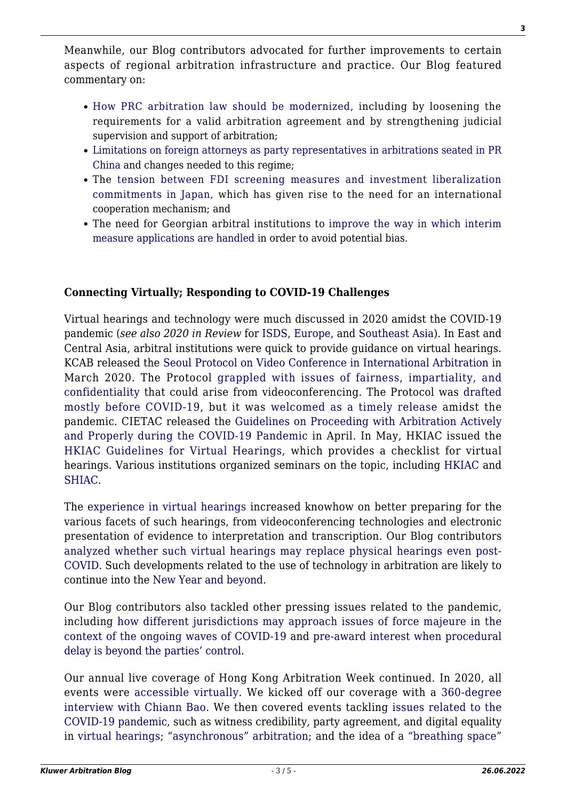Meanwhile, our Blog contributors advocated for further improvements to certain aspects of regional arbitration infrastructure and practice. Our Blog featured commentary on:

- [How PRC arbitration law should be modernized,](http://arbitrationblog.kluwerarbitration.com/2020/07/31/how-the-arbitration-law-of-the-peoples-republic-of-china-should-be-modernised/) including by loosening the requirements for a valid arbitration agreement and by strengthening judicial supervision and support of arbitration;
- [Limitations on foreign attorneys as party representatives in arbitrations seated in PR](http://arbitrationblog.kluwerarbitration.com/2020/10/05/foreign-attorneys-as-party-representatives-in-arbitrations-seated-in-pr-china/) [China](http://arbitrationblog.kluwerarbitration.com/2020/10/05/foreign-attorneys-as-party-representatives-in-arbitrations-seated-in-pr-china/) and changes needed to this regime;
- The [tension between FDI screening measures and investment liberalization](http://arbitrationblog.kluwerarbitration.com/2020/08/27/global-trend-of-tightening-fdi-screening-a-race-to-build-walls/) [commitments in Japan](http://arbitrationblog.kluwerarbitration.com/2020/08/27/global-trend-of-tightening-fdi-screening-a-race-to-build-walls/), which has given rise to the need for an international cooperation mechanism; and
- The need for Georgian arbitral institutions to [improve the way in which interim](http://arbitrationblog.kluwerarbitration.com/2020/03/10/avoiding-potential-bias-in-the-handling-of-interim-measures-applications-in-georgia/) [measure applications are handled](http://arbitrationblog.kluwerarbitration.com/2020/03/10/avoiding-potential-bias-in-the-handling-of-interim-measures-applications-in-georgia/) in order to avoid potential bias.

## **Connecting Virtually; Responding to COVID-19 Challenges**

Virtual hearings and technology were much discussed in 2020 amidst the COVID-19 pandemic (*see also 2020 in Review* for [ISDS,](http://arbitrationblog.kluwerarbitration.com/2020/12/27/2020-in-review-institutional-trends-in-investor-state-dispute-settlement/) [Europe,](http://arbitrationblog.kluwerarbitration.com/2020/12/23/2020-in-review-despite-a-global-pandemic-europe-saw-some-action-packed-arbitration-developments/) and [Southeast Asia](http://arbitrationblog.kluwerarbitration.com/2020/12/30/2020-in-review-reflections-on-the-sea-change-in-arbitration-in-southeast-asia/)). In East and Central Asia, arbitral institutions were quick to provide guidance on virtual hearings. KCAB released the [Seoul Protocol on Video Conference in International Arbitration](http://www.kcabinternational.or.kr/user/Board/comm_notice.do?BD_NO=172&CURRENT_MENU_CODE=MENU0015&TOP_MENU_CODE=MENU0014) in March 2020. The Protocol [grappled with issues of fairness, impartiality, and](http://arbitrationblog.kluwerarbitration.com/2020/04/06/safeguarding-the-future-of-arbitration-seoul-protocol-tackles-the-risks-of-videoconferencing/) [confidentiality](http://arbitrationblog.kluwerarbitration.com/2020/04/06/safeguarding-the-future-of-arbitration-seoul-protocol-tackles-the-risks-of-videoconferencing/) that could arise from videoconferencing. The Protocol was [drafted](https://globalarbitrationreview.com/virtual-hearings/seoul-protocol-video-conferencing-unveiled) [mostly before COVID-19,](https://globalarbitrationreview.com/virtual-hearings/seoul-protocol-video-conferencing-unveiled) but it was [welcomed as a timely release](https://www.lexology.com/library/detail.aspx?g=577b26b4-5372-4bc4-afba-ad72e60a94ba) amidst the pandemic. CIETAC released the [Guidelines on Proceeding with Arbitration Actively](http://www.cietac.org/index.php?m=Article&a=show&id=16919&l=en) [and Properly during the COVID-19 Pandemic](http://www.cietac.org/index.php?m=Article&a=show&id=16919&l=en) in April. In May, HKIAC issued the [HKIAC Guidelines for Virtual Hearings,](https://www.hkiac.org/sites/default/files/ck_filebrowser/HKIAC%20Guidelines%20for%20Virtual%20Hearings_3.pdf) which provides a checklist for virtual hearings. Various institutions organized seminars on the topic, including [HKIAC](https://www.hkiac.org/our-services/facilities/virtual-hearings/resource-library) and [SHIAC](http://arbitrationblog.kluwerarbitration.com/2020/09/13/interviews-with-our-editors-arbitration-tips-thoughts-and-tattle-from-dr-ma-yi-of-shiac/).

The [experience in virtual hearings](http://arbitrationblog.kluwerarbitration.com/2020/08/02/personal-takeaway-from-the-warzone-organizing-preparing-and-attending-a-two-week-virtual-hearing/) increased knowhow on better preparing for the various facets of such hearings, from videoconferencing technologies and electronic presentation of evidence to interpretation and transcription. Our Blog contributors [analyzed whether such virtual hearings may replace physical hearings even post-](http://arbitrationblog.kluwerarbitration.com/2020/07/19/rethinking-virtual-hearings/)[COVID](http://arbitrationblog.kluwerarbitration.com/2020/07/19/rethinking-virtual-hearings/). Such developments related to the use of technology in arbitration are likely to continue into the [New Year and beyond.](http://arbitrationblog.kluwerarbitration.com/2020/12/07/international-law-talk-podcast-and-arbitration-in-conversation-with-chiann-bao/)

Our Blog contributors also tackled other pressing issues related to the pandemic, including [how different jurisdictions may approach issues of force majeure in the](http://arbitrationblog.kluwerarbitration.com/2020/11/11/covid-19-and-force-majeure-dealing-with-the-ongoing-waves-of-covid-19/) [context of the ongoing waves of COVID-19](http://arbitrationblog.kluwerarbitration.com/2020/11/11/covid-19-and-force-majeure-dealing-with-the-ongoing-waves-of-covid-19/) and [pre-award interest when procedural](http://arbitrationblog.kluwerarbitration.com/2020/09/01/allocating-pre-award-interest-when-a-procedural-delay-is-beyond-parties-control/) [delay is beyond the parties' control.](http://arbitrationblog.kluwerarbitration.com/2020/09/01/allocating-pre-award-interest-when-a-procedural-delay-is-beyond-parties-control/)

Our annual live coverage of Hong Kong Arbitration Week continued. In 2020, all events were [accessible virtually](https://hkaweek.hkiac.org/en/events-calendar.php). We kicked off our coverage with a [360-degree](http://arbitrationblog.kluwerarbitration.com/2020/10/19/interviews-with-our-editors-360-degree-discussion-with-chiann-bao/) [interview with Chiann Bao.](http://arbitrationblog.kluwerarbitration.com/2020/10/19/interviews-with-our-editors-360-degree-discussion-with-chiann-bao/) We then covered events tackling [issues related to the](http://arbitrationblog.kluwerarbitration.com/category/covid-19/) [COVID-19 pandemic,](http://arbitrationblog.kluwerarbitration.com/category/covid-19/) such as witness credibility, party agreement, and digital equality in [virtual hearings;](http://arbitrationblog.kluwerarbitration.com/2020/10/20/hong-kong-arbitration-week-recap-international-arbitration-in-times-of-covid/) ["asynchronous" arbitration;](http://arbitrationblog.kluwerarbitration.com/2020/10/21/hong-kong-arbitration-week-recap-reimagining-arbitration-technology-and-the-pandemic/) and the idea of a ["breathing space"](http://arbitrationblog.kluwerarbitration.com/2020/10/21/hong-kong-arbitration-week-recap-reimagining-arbitration-technology-and-the-pandemic/)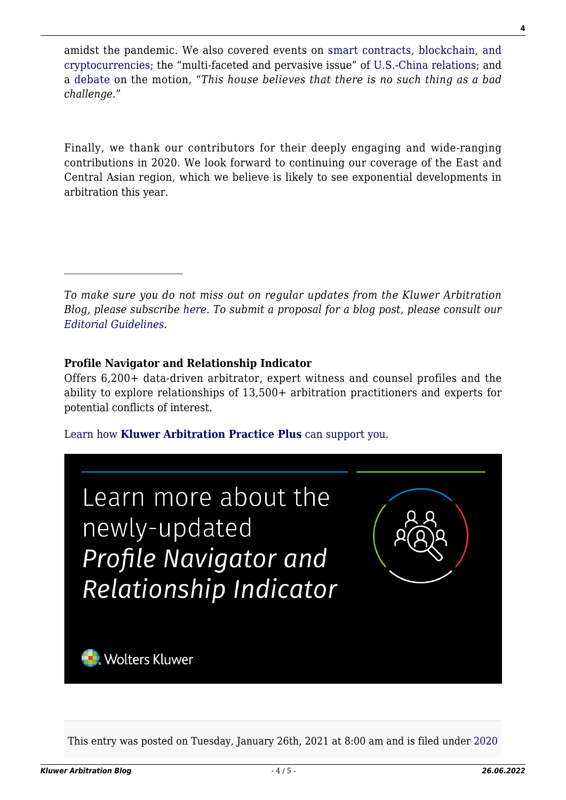amidst the pandemic. We also covered events on [smart contracts, blockchain, and](http://arbitrationblog.kluwerarbitration.com/2020/10/21/hong-kong-arbitration-week-recap-reimagining-arbitration-technology-and-the-pandemic/) [cryptocurrencies](http://arbitrationblog.kluwerarbitration.com/2020/10/21/hong-kong-arbitration-week-recap-reimagining-arbitration-technology-and-the-pandemic/); the "multi-faceted and pervasive issue" of [U.S.-China relations;](http://arbitrationblog.kluwerarbitration.com/2020/10/22/hong-kong-arbitration-week-recap-adr-in-asia-conference-on-us-china-relations-challenges-and-opportunities/) and a [debate](http://arbitrationblog.kluwerarbitration.com/2020/10/23/hong-kong-arbitration-week-recap-gar-live-debate-on-arbitrator-challenges/) on the motion, "*This house believes that there is no such thing as a bad challenge*."

Finally, we thank our contributors for their deeply engaging and wide-ranging contributions in 2020. We look forward to continuing our coverage of the East and Central Asian region, which we believe is likely to see exponential developments in arbitration this year.

*To make sure you do not miss out on regular updates from the Kluwer Arbitration Blog, please subscribe [here](http://arbitrationblog.kluwerarbitration.com/newsletter/). To submit a proposal for a blog post, please consult our [Editorial Guidelines.](http://arbitrationblog.kluwerarbitration.com/editorial-guidelines/)*

#### **Profile Navigator and Relationship Indicator**

Offers 6,200+ data-driven arbitrator, expert witness and counsel profiles and the ability to explore relationships of 13,500+ arbitration practitioners and experts for potential conflicts of interest.

[Learn how](https://www.wolterskluwer.com/en/solutions/kluwerarbitration/practiceplus?utm_source=arbitrationblog&utm_medium=articleCTA&utm_campaign=article-banner) **[Kluwer Arbitration Practice Plus](https://www.wolterskluwer.com/en/solutions/kluwerarbitration/practiceplus?utm_source=arbitrationblog&utm_medium=articleCTA&utm_campaign=article-banner)** [can support you.](https://www.wolterskluwer.com/en/solutions/kluwerarbitration/practiceplus?utm_source=arbitrationblog&utm_medium=articleCTA&utm_campaign=article-banner)



This entry was posted on Tuesday, January 26th, 2021 at 8:00 am and is filed under [2020](http://arbitrationblog.kluwerarbitration.com/category/2020-in-review/)